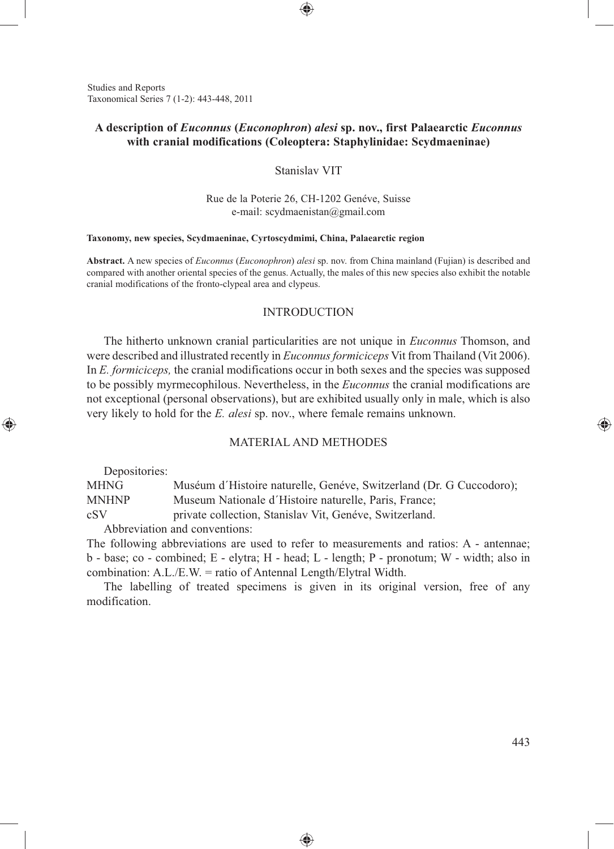Studies and Reports Taxonomical Series 7 (1-2): 443-448, 2011

# **A description of** *Euconnus* **(***Euconophron***)** *alesi* **sp. nov., first Palaearctic** *Euconnus* **with cranial modifications (Coleoptera: Staphylinidae: Scydmaeninae)**

⊕

Stanislav VIT

Rue de la Poterie 26, CH-1202 Genéve, Suisse e-mail: scydmaenistan@gmail.com

#### **Taxonomy, new species, Scydmaeninae, Cyrtoscydmimi, China, Palaearctic region**

**Abstract.** A new species of *Euconnus* (*Euconophron*) *alesi* sp. nov. from China mainland (Fujian) is described and compared with another oriental species of the genus. Actually, the males of this new species also exhibit the notable cranial modifications of the fronto-clypeal area and clypeus.

## INTRODUCTION

The hitherto unknown cranial particularities are not unique in *Euconnus* Thomson, and were described and illustrated recently in *Euconnus formiciceps* Vit from Thailand (Vit 2006). In *E. formiciceps,* the cranial modifications occur in both sexes and the species was supposed to be possibly myrmecophilous. Nevertheless, in the *Euconnus* the cranial modifications are not exceptional (personal observations), but are exhibited usually only in male, which is also very likely to hold for the *E. alesi* sp. nov., where female remains unknown.

### MATERIAL AND METHODES

Depositories:

◈

MHNG Muséum d'Histoire naturelle, Genéve, Switzerland (Dr. G Cuccodoro); MNHNP Museum Nationale d'Histoire naturelle, Paris, France; cSV private collection, Stanislav Vit, Genéve, Switzerland. Abbreviation and conventions:

The following abbreviations are used to refer to measurements and ratios: A - antennae; b - base; co - combined; E - elytra; H - head; L - length; P - pronotum; W - width; also in combination: A.L./E.W. = ratio of Antennal Length/Elytral Width.

The labelling of treated specimens is given in its original version, free of any modification.

♠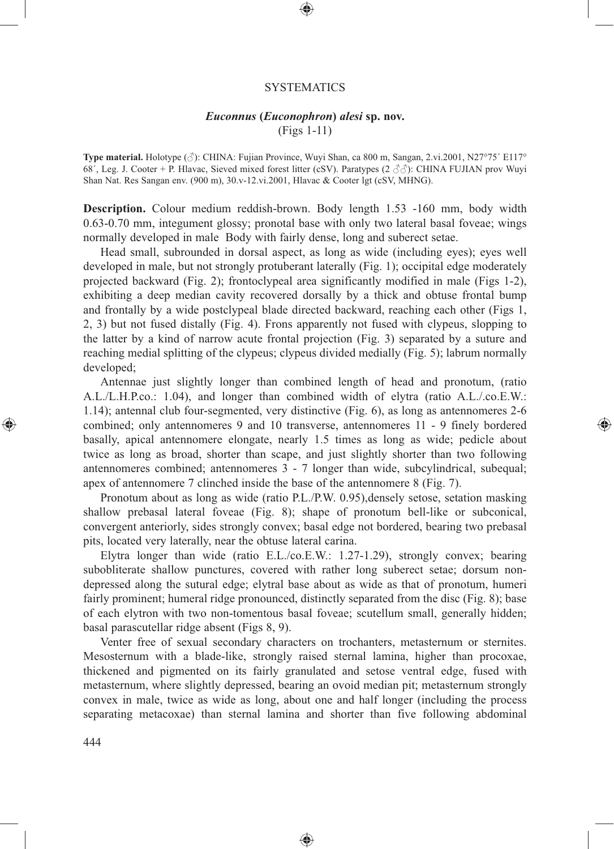#### **SYSTEMATICS**

⊕

## *Euconnus* **(***Euconophron***)** *alesi* **sp. nov.**

(Figs 1-11)

**Type material.** Holotype ( $\Diamond$ ): CHINA: Fujian Province, Wuyi Shan, ca 800 m, Sangan, 2.vi.2001, N27°75´ E117° 68', Leg. J. Cooter + P. Hlavac, Sieved mixed forest litter (cSV). Paratypes (2  $\partial \partial$ ): CHINA FUJIAN prov Wuyi Shan Nat. Res Sangan env. (900 m), 30.v-12.vi.2001, Hlavac & Cooter lgt (cSV, MHNG).

**Description.** Colour medium reddish-brown. Body length 1.53 -160 mm, body width 0.63-0.70 mm, integument glossy; pronotal base with only two lateral basal foveae; wings normally developed in male Body with fairly dense, long and suberect setae.

Head small, subrounded in dorsal aspect, as long as wide (including eyes); eyes well developed in male, but not strongly protuberant laterally (Fig. 1); occipital edge moderately projected backward (Fig. 2); frontoclypeal area significantly modified in male (Figs 1-2), exhibiting a deep median cavity recovered dorsally by a thick and obtuse frontal bump and frontally by a wide postclypeal blade directed backward, reaching each other (Figs 1, 2, 3) but not fused distally (Fig. 4). Frons apparently not fused with clypeus, slopping to the latter by a kind of narrow acute frontal projection (Fig. 3) separated by a suture and reaching medial splitting of the clypeus; clypeus divided medially (Fig. 5); labrum normally developed;

Antennae just slightly longer than combined length of head and pronotum, (ratio A.L./L.H.P.co.: 1.04), and longer than combined width of elytra (ratio A.L./.co.E.W.: 1.14); antennal club four-segmented, very distinctive (Fig. 6), as long as antennomeres 2-6 combined; only antennomeres 9 and 10 transverse, antennomeres 11 - 9 finely bordered basally, apical antennomere elongate, nearly 1.5 times as long as wide; pedicle about twice as long as broad, shorter than scape, and just slightly shorter than two following antennomeres combined; antennomeres 3 - 7 longer than wide, subcylindrical, subequal; apex of antennomere 7 clinched inside the base of the antennomere 8 (Fig. 7).

⊕

Pronotum about as long as wide (ratio P.L./P.W. 0.95),densely setose, setation masking shallow prebasal lateral foveae (Fig. 8); shape of pronotum bell-like or subconical, convergent anteriorly, sides strongly convex; basal edge not bordered, bearing two prebasal pits, located very laterally, near the obtuse lateral carina.

Elytra longer than wide (ratio E.L./co.E.W.: 1.27-1.29), strongly convex; bearing subobliterate shallow punctures, covered with rather long suberect setae; dorsum nondepressed along the sutural edge; elytral base about as wide as that of pronotum, humeri fairly prominent; humeral ridge pronounced, distinctly separated from the disc (Fig. 8); base of each elytron with two non-tomentous basal foveae; scutellum small, generally hidden; basal parascutellar ridge absent (Figs 8, 9).

Venter free of sexual secondary characters on trochanters, metasternum or sternites. Mesosternum with a blade-like, strongly raised sternal lamina, higher than procoxae, thickened and pigmented on its fairly granulated and setose ventral edge, fused with metasternum, where slightly depressed, bearing an ovoid median pit; metasternum strongly convex in male, twice as wide as long, about one and half longer (including the process separating metacoxae) than sternal lamina and shorter than five following abdominal

♠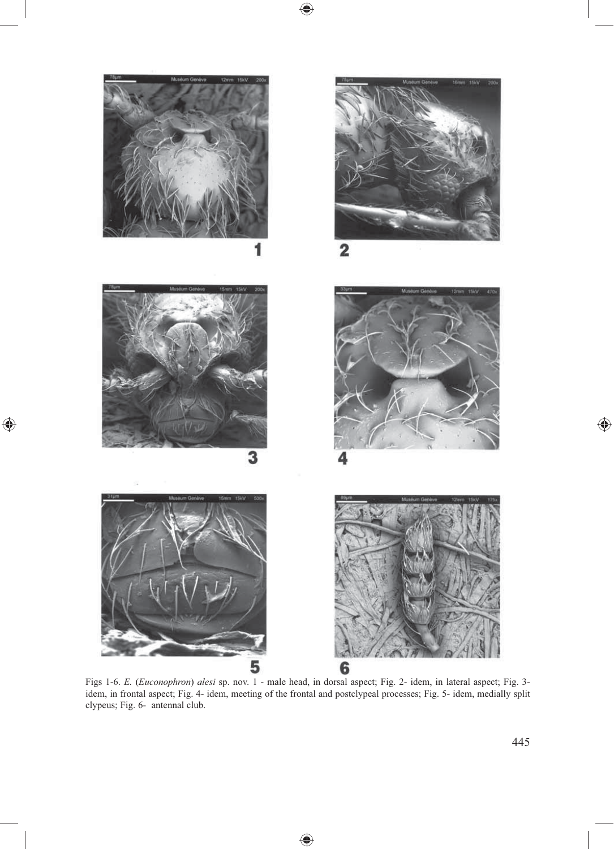

 $\bigoplus$ 

 $\bigoplus$ 

Figs 1-6. *E.* (*Euconophron*) *alesi* sp. nov. 1 - male head, in dorsal aspect; Fig. 2- idem, in lateral aspect; Fig. 3 idem, in frontal aspect; Fig. 4- idem, meeting of the frontal and postclypeal processes; Fig. 5- idem, medially split clypeus; Fig. 6- antennal club.

 $\bigoplus$ 

 $\bigoplus$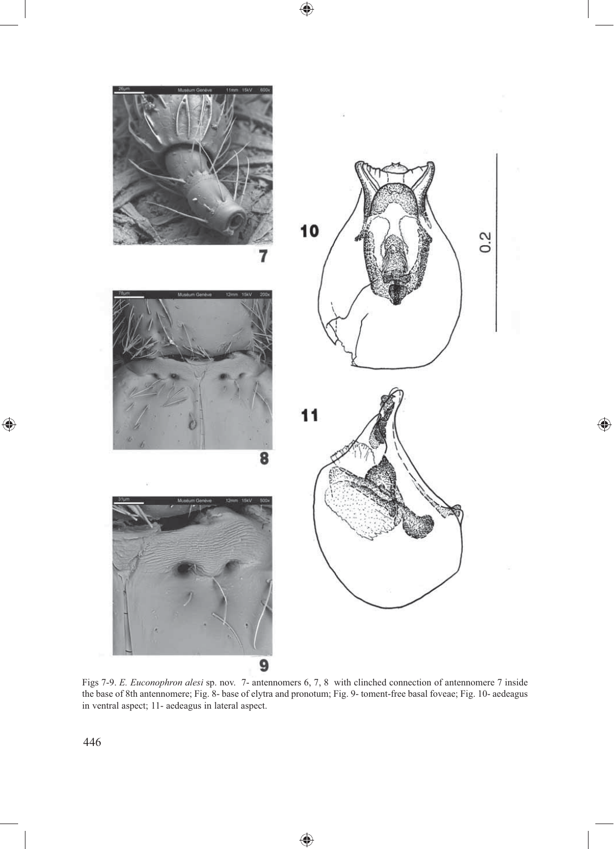10  $0.2$  $11$ 

 $\bigoplus$ 

 $\bigoplus$ 

Figs 7-9. *E. Euconophron alesi* sp. nov. 7- antennomers 6, 7, 8 with clinched connection of antennomere 7 inside the base of 8th antennomere; Fig. 8- base of elytra and pronotum; Fig. 9- toment-free basal foveae; Fig. 10- aedeagus in ventral aspect; 11- aedeagus in lateral aspect.

♠

9

 $\bigoplus$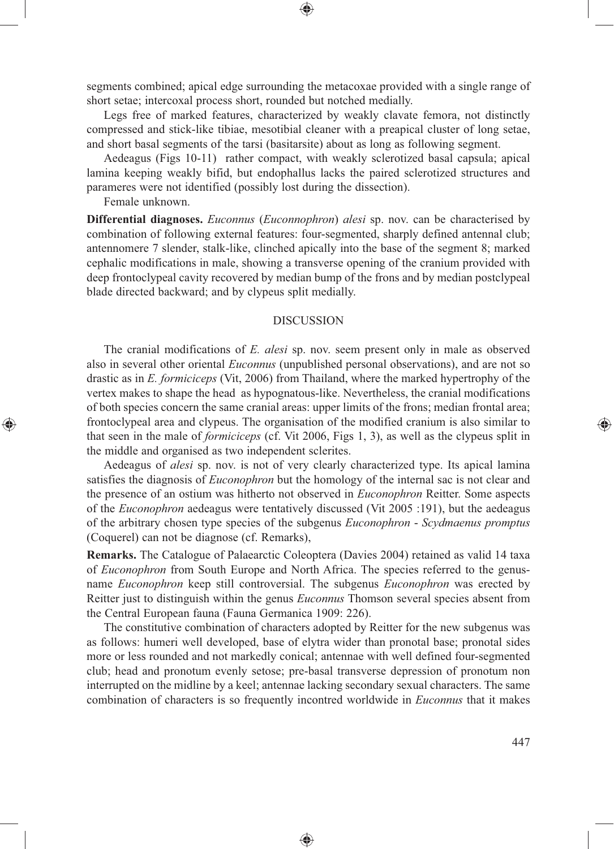segments combined; apical edge surrounding the metacoxae provided with a single range of short setae; intercoxal process short, rounded but notched medially.

⊕

Legs free of marked features, characterized by weakly clavate femora, not distinctly compressed and stick-like tibiae, mesotibial cleaner with a preapical cluster of long setae, and short basal segments of the tarsi (basitarsite) about as long as following segment.

Aedeagus (Figs 10-11) rather compact, with weakly sclerotized basal capsula; apical lamina keeping weakly bifid, but endophallus lacks the paired sclerotized structures and parameres were not identified (possibly lost during the dissection).

Female unknown.

⊕

**Differential diagnoses.** *Euconnus* (*Euconnophron*) *alesi* sp. nov. can be characterised by combination of following external features: four-segmented, sharply defined antennal club; antennomere 7 slender, stalk-like, clinched apically into the base of the segment 8; marked cephalic modifications in male, showing a transverse opening of the cranium provided with deep frontoclypeal cavity recovered by median bump of the frons and by median postclypeal blade directed backward; and by clypeus split medially.

## DISCUSSION

The cranial modifications of *E. alesi* sp. nov. seem present only in male as observed also in several other oriental *Euconnus* (unpublished personal observations), and are not so drastic as in *E. formiciceps* (Vit, 2006) from Thailand, where the marked hypertrophy of the vertex makes to shape the head as hypognatous-like. Nevertheless, the cranial modifications of both species concern the same cranial areas: upper limits of the frons; median frontal area; frontoclypeal area and clypeus. The organisation of the modified cranium is also similar to that seen in the male of *formiciceps* (cf. Vit 2006, Figs 1, 3), as well as the clypeus split in the middle and organised as two independent sclerites.

Aedeagus of *alesi* sp. nov. is not of very clearly characterized type. Its apical lamina satisfies the diagnosis of *Euconophron* but the homology of the internal sac is not clear and the presence of an ostium was hitherto not observed in *Euconophron* Reitter. Some aspects of the *Euconophron* aedeagus were tentatively discussed (Vit 2005 :191), but the aedeagus of the arbitrary chosen type species of the subgenus *Euconophron* - *Scydmaenus promptus*  (Coquerel) can not be diagnose (cf. Remarks),

**Remarks.** The Catalogue of Palaearctic Coleoptera (Davies 2004) retained as valid 14 taxa of *Euconophron* from South Europe and North Africa. The species referred to the genusname *Euconophron* keep still controversial. The subgenus *Euconophron* was erected by Reitter just to distinguish within the genus *Euconnus* Thomson several species absent from the Central European fauna (Fauna Germanica 1909: 226).

The constitutive combination of characters adopted by Reitter for the new subgenus was as follows: humeri well developed, base of elytra wider than pronotal base; pronotal sides more or less rounded and not markedly conical; antennae with well defined four-segmented club; head and pronotum evenly setose; pre-basal transverse depression of pronotum non interrupted on the midline by a keel; antennae lacking secondary sexual characters. The same combination of characters is so frequently incontred worldwide in *Euconnus* that it makes

♠